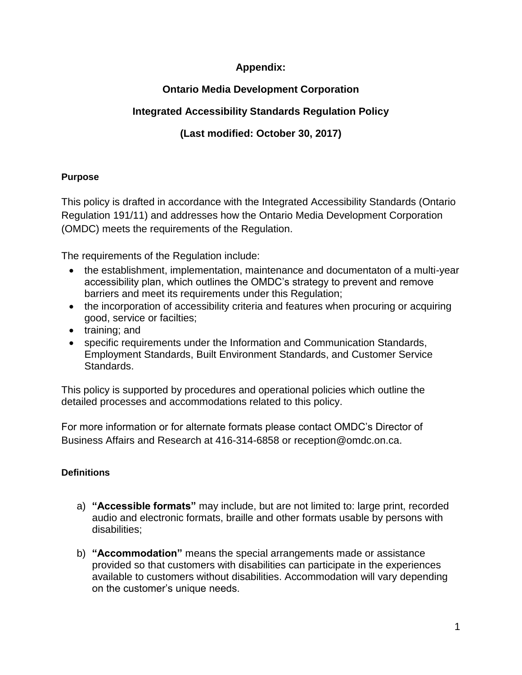## **Appendix:**

# **Ontario Media Development Corporation**

# **Integrated Accessibility Standards Regulation Policy**

# **(Last modified: October 30, 2017)**

## **Purpose**

This policy is drafted in accordance with the Integrated Accessibility Standards (Ontario Regulation 191/11) and addresses how the Ontario Media Development Corporation (OMDC) meets the requirements of the Regulation.

The requirements of the Regulation include:

- the establishment, implementation, maintenance and documentaton of a multi-year accessibility plan, which outlines the OMDC's strategy to prevent and remove barriers and meet its requirements under this Regulation;
- the incorporation of accessibility criteria and features when procuring or acquiring good, service or facilties;
- training; and
- specific requirements under the Information and Communication Standards, Employment Standards, Built Environment Standards, and Customer Service Standards.

This policy is supported by procedures and operational policies which outline the detailed processes and accommodations related to this policy.

For more information or for alternate formats please contact OMDC's Director of Business Affairs and Research at 416-314-6858 or reception@omdc.on.ca.

# **Definitions**

- a) **"Accessible formats"** may include, but are not limited to: large print, recorded audio and electronic formats, braille and other formats usable by persons with disabilities;
- b) **"Accommodation"** means the special arrangements made or assistance provided so that customers with disabilities can participate in the experiences available to customers without disabilities. Accommodation will vary depending on the customer's unique needs.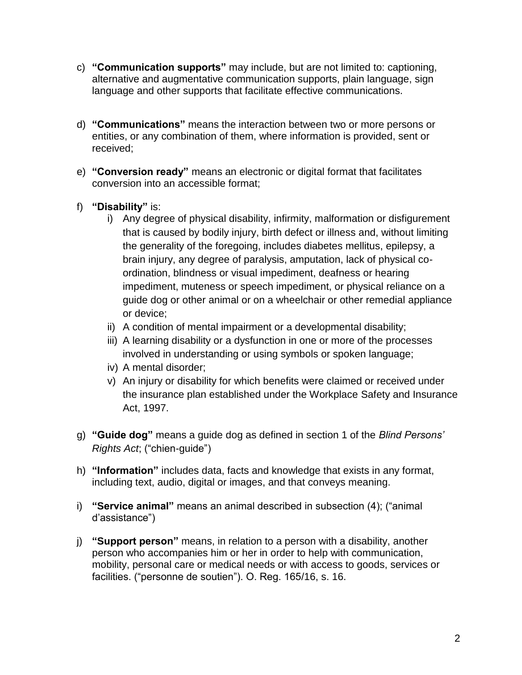- c) **"Communication supports"** may include, but are not limited to: captioning, alternative and augmentative communication supports, plain language, sign language and other supports that facilitate effective communications.
- d) **"Communications"** means the interaction between two or more persons or entities, or any combination of them, where information is provided, sent or received;
- e) **"Conversion ready"** means an electronic or digital format that facilitates conversion into an accessible format;
- f) **"Disability"** is:
	- i) Any degree of physical disability, infirmity, malformation or disfigurement that is caused by bodily injury, birth defect or illness and, without limiting the generality of the foregoing, includes diabetes mellitus, epilepsy, a brain injury, any degree of paralysis, amputation, lack of physical coordination, blindness or visual impediment, deafness or hearing impediment, muteness or speech impediment, or physical reliance on a guide dog or other animal or on a wheelchair or other remedial appliance or device;
	- ii) A condition of mental impairment or a developmental disability;
	- iii) A learning disability or a dysfunction in one or more of the processes involved in understanding or using symbols or spoken language;
	- iv) A mental disorder;
	- v) An injury or disability for which benefits were claimed or received under the insurance plan established under the Workplace Safety and Insurance Act, 1997.
- g) **"Guide dog"** means a guide dog as defined in section 1 of the *Blind Persons' Rights Act*; ("chien-guide")
- h) **"Information"** includes data, facts and knowledge that exists in any format, including text, audio, digital or images, and that conveys meaning.
- i) **"Service animal"** means an animal described in subsection (4); ("animal d'assistance")
- j) **"Support person"** means, in relation to a person with a disability, another person who accompanies him or her in order to help with communication, mobility, personal care or medical needs or with access to goods, services or facilities. ("personne de soutien"). O. Reg. 165/16, s. 16.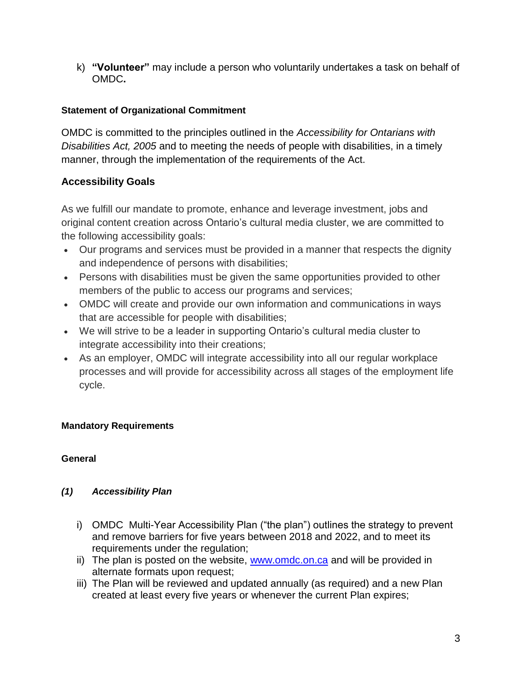k) **"Volunteer"** may include a person who voluntarily undertakes a task on behalf of OMDC**.** 

## **Statement of Organizational Commitment**

OMDC is committed to the principles outlined in the *Accessibility for Ontarians with Disabilities Act, 2005* and to meeting the needs of people with disabilities, in a timely manner, through the implementation of the requirements of the Act.

## **Accessibility Goals**

As we fulfill our mandate to promote, enhance and leverage investment, jobs and original content creation across Ontario's cultural media cluster, we are committed to the following accessibility goals:

- Our programs and services must be provided in a manner that respects the dignity and independence of persons with disabilities;
- Persons with disabilities must be given the same opportunities provided to other members of the public to access our programs and services;
- OMDC will create and provide our own information and communications in ways that are accessible for people with disabilities;
- We will strive to be a leader in supporting Ontario's cultural media cluster to integrate accessibility into their creations;
- As an employer, OMDC will integrate accessibility into all our regular workplace processes and will provide for accessibility across all stages of the employment life cycle.

## **Mandatory Requirements**

## **General**

## *(1) Accessibility Plan*

- i) OMDC Multi-Year Accessibility Plan ("the plan") outlines the strategy to prevent and remove barriers for five years between 2018 and 2022, and to meet its requirements under the regulation;
- ii) The plan is posted on the website, [www.omdc.on.ca](http://www.omdc.on.ca/) and will be provided in alternate formats upon request;
- iii) The Plan will be reviewed and updated annually (as required) and a new Plan created at least every five years or whenever the current Plan expires;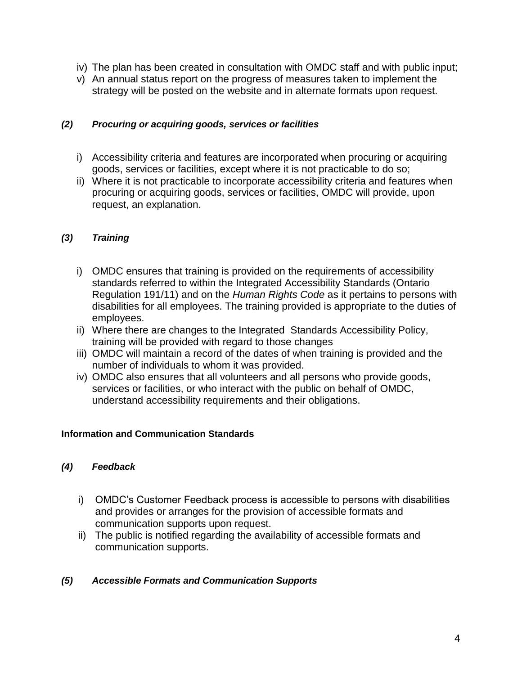- iv) The plan has been created in consultation with OMDC staff and with public input;
- v) An annual status report on the progress of measures taken to implement the strategy will be posted on the website and in alternate formats upon request.

#### *(2) Procuring or acquiring goods, services or facilities*

- i) Accessibility criteria and features are incorporated when procuring or acquiring goods, services or facilities, except where it is not practicable to do so;
- ii) Where it is not practicable to incorporate accessibility criteria and features when procuring or acquiring goods, services or facilities, OMDC will provide, upon request, an explanation.

#### *(3) Training*

- i) OMDC ensures that training is provided on the requirements of accessibility standards referred to within the Integrated Accessibility Standards (Ontario Regulation 191/11) and on the *Human Rights Code* as it pertains to persons with disabilities for all employees. The training provided is appropriate to the duties of employees.
- ii) Where there are changes to the Integrated Standards Accessibility Policy, training will be provided with regard to those changes
- iii) OMDC will maintain a record of the dates of when training is provided and the number of individuals to whom it was provided.
- iv) OMDC also ensures that all volunteers and all persons who provide goods, services or facilities, or who interact with the public on behalf of OMDC, understand accessibility requirements and their obligations.

#### **Information and Communication Standards**

#### *(4) Feedback*

- i) OMDC's Customer Feedback process is accessible to persons with disabilities and provides or arranges for the provision of accessible formats and communication supports upon request.
- ii) The public is notified regarding the availability of accessible formats and communication supports.

#### *(5) Accessible Formats and Communication Supports*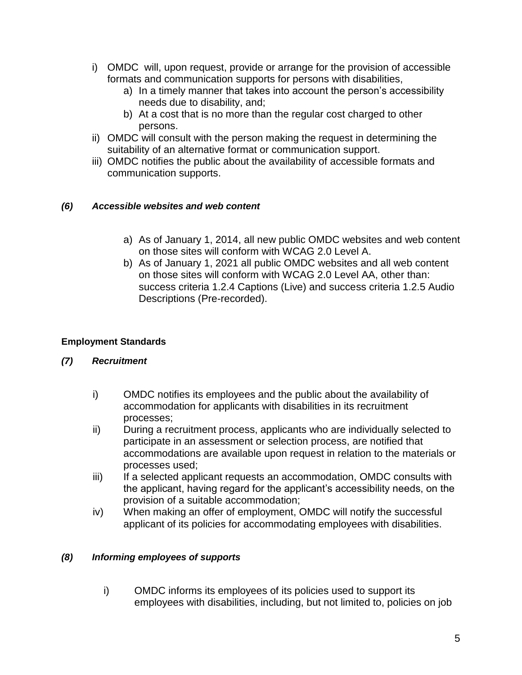- i) OMDC will, upon request, provide or arrange for the provision of accessible formats and communication supports for persons with disabilities,
	- a) In a timely manner that takes into account the person's accessibility needs due to disability, and;
	- b) At a cost that is no more than the regular cost charged to other persons.
- ii) OMDC will consult with the person making the request in determining the suitability of an alternative format or communication support.
- iii) OMDC notifies the public about the availability of accessible formats and communication supports.

### *(6) Accessible websites and web content*

- a) As of January 1, 2014, all new public OMDC websites and web content on those sites will conform with WCAG 2.0 Level A.
- b) As of January 1, 2021 all public OMDC websites and all web content on those sites will conform with WCAG 2.0 Level AA, other than: success criteria 1.2.4 Captions (Live) and success criteria 1.2.5 Audio Descriptions (Pre-recorded).

#### **Employment Standards**

## *(7) Recruitment*

- i) OMDC notifies its employees and the public about the availability of accommodation for applicants with disabilities in its recruitment processes;
- ii) During a recruitment process, applicants who are individually selected to participate in an assessment or selection process, are notified that accommodations are available upon request in relation to the materials or processes used;
- iii) If a selected applicant requests an accommodation, OMDC consults with the applicant, having regard for the applicant's accessibility needs, on the provision of a suitable accommodation;
- iv) When making an offer of employment, OMDC will notify the successful applicant of its policies for accommodating employees with disabilities.

#### *(8) Informing employees of supports*

i) OMDC informs its employees of its policies used to support its employees with disabilities, including, but not limited to, policies on job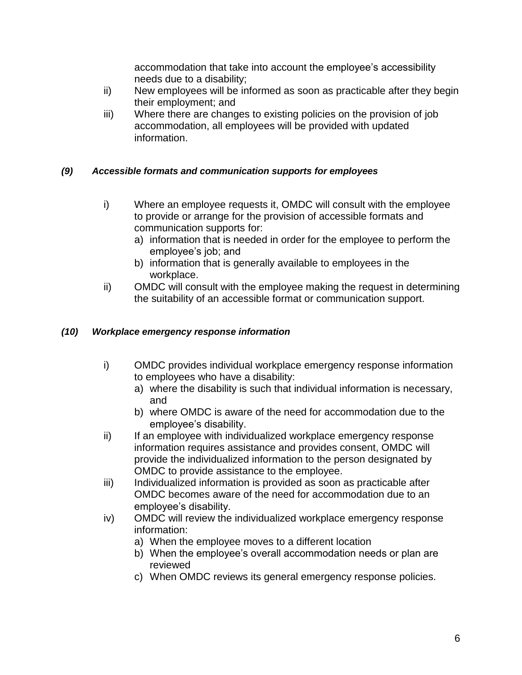accommodation that take into account the employee's accessibility needs due to a disability;

- ii) New employees will be informed as soon as practicable after they begin their employment; and
- iii) Where there are changes to existing policies on the provision of job accommodation, all employees will be provided with updated information.

## *(9) Accessible formats and communication supports for employees*

- i) Where an employee requests it, OMDC will consult with the employee to provide or arrange for the provision of accessible formats and communication supports for:
	- a) information that is needed in order for the employee to perform the employee's job; and
	- b) information that is generally available to employees in the workplace.
- ii) OMDC will consult with the employee making the request in determining the suitability of an accessible format or communication support.

#### *(10) Workplace emergency response information*

- i) OMDC provides individual workplace emergency response information to employees who have a disability:
	- a) where the disability is such that individual information is necessary, and
	- b) where OMDC is aware of the need for accommodation due to the employee's disability.
- ii) If an employee with individualized workplace emergency response information requires assistance and provides consent, OMDC will provide the individualized information to the person designated by OMDC to provide assistance to the employee.
- iii) Individualized information is provided as soon as practicable after OMDC becomes aware of the need for accommodation due to an employee's disability.
- iv) OMDC will review the individualized workplace emergency response information:
	- a) When the employee moves to a different location
	- b) When the employee's overall accommodation needs or plan are reviewed
	- c) When OMDC reviews its general emergency response policies.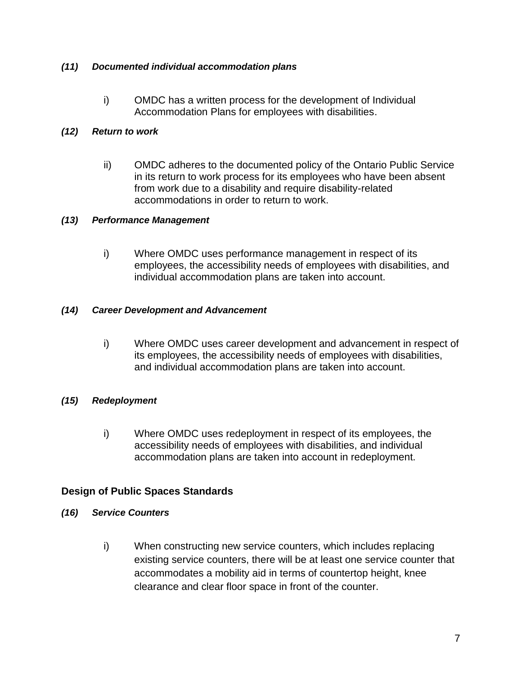#### *(11) Documented individual accommodation plans*

i) OMDC has a written process for the development of Individual Accommodation Plans for employees with disabilities.

#### *(12) Return to work*

ii) OMDC adheres to the documented policy of the Ontario Public Service in its return to work process for its employees who have been absent from work due to a disability and require disability-related accommodations in order to return to work.

#### *(13) Performance Management*

i) Where OMDC uses performance management in respect of its employees, the accessibility needs of employees with disabilities, and individual accommodation plans are taken into account.

#### *(14) Career Development and Advancement*

i) Where OMDC uses career development and advancement in respect of its employees, the accessibility needs of employees with disabilities, and individual accommodation plans are taken into account.

#### *(15) Redeployment*

i) Where OMDC uses redeployment in respect of its employees, the accessibility needs of employees with disabilities, and individual accommodation plans are taken into account in redeployment.

#### **Design of Public Spaces Standards**

- *(16) Service Counters*
	- i) When constructing new service counters, which includes replacing existing service counters, there will be at least one service counter that accommodates a mobility aid in terms of countertop height, knee clearance and clear floor space in front of the counter.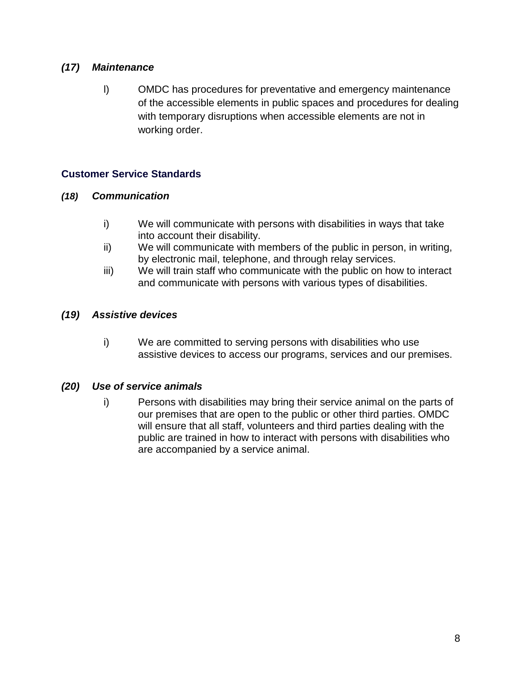## *(17) Maintenance*

l) OMDC has procedures for preventative and emergency maintenance of the accessible elements in public spaces and procedures for dealing with temporary disruptions when accessible elements are not in working order.

## **Customer Service Standards**

#### *(18) Communication*

- i) We will communicate with persons with disabilities in ways that take into account their disability.
- ii) We will communicate with members of the public in person, in writing, by electronic mail, telephone, and through relay services.
- iii) We will train staff who communicate with the public on how to interact and communicate with persons with various types of disabilities.

#### *(19) Assistive devices*

i) We are committed to serving persons with disabilities who use assistive devices to access our programs, services and our premises.

#### *(20) Use of service animals*

i) Persons with disabilities may bring their service animal on the parts of our premises that are open to the public or other third parties. OMDC will ensure that all staff, volunteers and third parties dealing with the public are trained in how to interact with persons with disabilities who are accompanied by a service animal.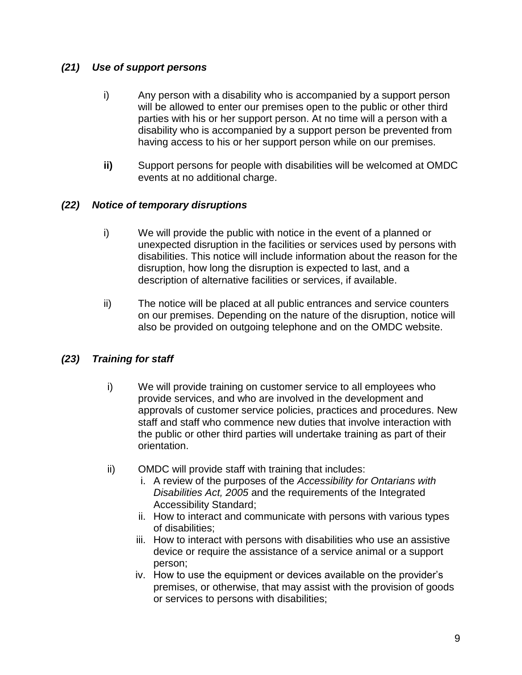## *(21) Use of support persons*

- i) Any person with a disability who is accompanied by a support person will be allowed to enter our premises open to the public or other third parties with his or her support person. At no time will a person with a disability who is accompanied by a support person be prevented from having access to his or her support person while on our premises.
- **ii)** Support persons for people with disabilities will be welcomed at OMDC events at no additional charge.

## *(22) Notice of temporary disruptions*

- i) We will provide the public with notice in the event of a planned or unexpected disruption in the facilities or services used by persons with disabilities. This notice will include information about the reason for the disruption, how long the disruption is expected to last, and a description of alternative facilities or services, if available.
- ii) The notice will be placed at all public entrances and service counters on our premises. Depending on the nature of the disruption, notice will also be provided on outgoing telephone and on the OMDC website.

## *(23) Training for staff*

- i) We will provide training on customer service to all employees who provide services, and who are involved in the development and approvals of customer service policies, practices and procedures. New staff and staff who commence new duties that involve interaction with the public or other third parties will undertake training as part of their orientation.
- ii) OMDC will provide staff with training that includes:
	- i. A review of the purposes of the *Accessibility for Ontarians with Disabilities Act, 2005* and the requirements of the Integrated Accessibility Standard;
	- ii. How to interact and communicate with persons with various types of disabilities;
	- iii. How to interact with persons with disabilities who use an assistive device or require the assistance of a service animal or a support person;
	- iv. How to use the equipment or devices available on the provider's premises, or otherwise, that may assist with the provision of goods or services to persons with disabilities;